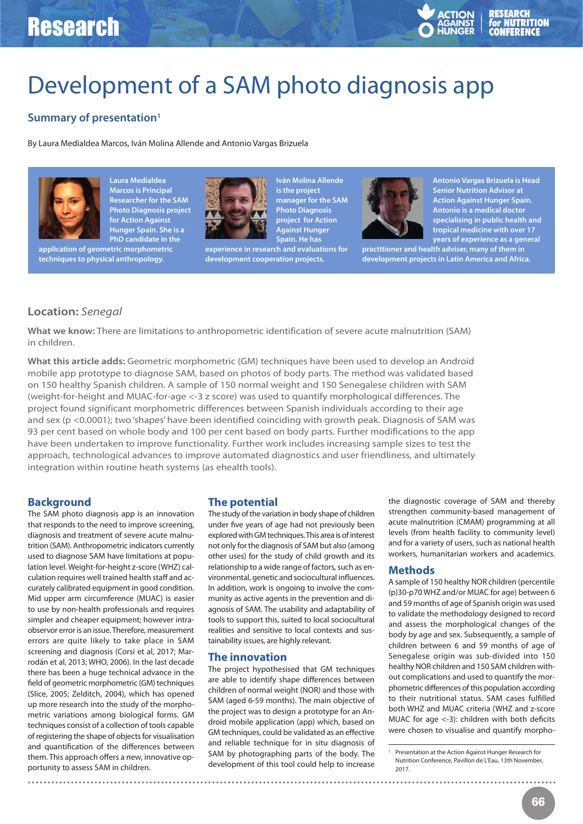# Research



# Development of a SAM photo diagnosis app

## **Summary of presentation1**

By Laura Medialdea Marcos, Iván Molina Allende and Antonio Vargas Brizuela



**Laura Medialdea Marcos is Principal Researcher for the SAM Photo Diagnosis project for Action Against Hunger Spain. She is a PhD candidate in the**

**application of geometric morphometric techniques to physical anthropology.** 



**Against Hunger Spain. He has experience in research and evaluations for development cooperation projects.**

**Iván Molina Allende is the project manager for the SAM Photo Diagnosis project for Action**



**Antonio Vargas Brizuela is Head Senior Nutrition Advisor at Action Against Hunger Spain. Antonio is a medical doctor specialising in public health and tropical medicine with over 17 years of experience as a general**

**practitioner and health adviser, many of them in development projects in Latin America and Africa.** 

### **Location:** Senegal

**What we know:** There are limitations to anthropometric identification of severe acute malnutrition (SAM) in children.

**What this article adds:** Geometric morphometric (GM) techniques have been used to develop an Android mobile app prototype to diagnose SAM, based on photos of body parts. The method was validated based on 150 healthy Spanish children. A sample of 150 normal weight and 150 Senegalese children with SAM (weight-for-height and MUAC-for-age <-3 z score) was used to quantify morphological differences. The project found significant morphometric differences between Spanish individuals according to their age and sex (p <0.0001); two 'shapes' have been identified coinciding with growth peak. Diagnosis of SAM was 93 per cent based on whole body and 100 per cent based on body parts. Further modifications to the app have been undertaken to improve functionality. Further work includes increasing sample sizes to test the approach, technological advances to improve automated diagnostics and user friendliness, and ultimately integration within routine heath systems (as ehealth tools).

#### **Background**

The SAM photo diagnosis app is an innovation that responds to the need to improve screening, diagnosis and treatment of severe acute malnutrition (SAM). Anthropometric indicators currently used to diagnose SAM have limitations at population level. Weight-for-height z-score (WHZ) calculation requires well trained health staff and accurately calibrated equipment in good condition. Mid upper arm circumference (MUAC) is easier to use by non-health professionals and requires simpler and cheaper equipment; however intraobservor error is an issue. Therefore, measurement errors are quite likely to take place in SAM screening and diagnosis (Corsi et al, 2017; Marrodán et al, 2013; WHO, 2006). In the last decade there has been a huge technical advance in the field of geometric morphometric (GM) techniques (Slice, 2005; Zelditch, 2004), which has opened up more research into the study of the morphometric variations among biological forms. GM techniques consist of a collection of tools capable of registering the shape of objects for visualisation and quantification of the differences between them. This approach offers a new, innovative opportunity to assess SAM in children.

#### **The potential**

The study of the variation in body shape of children under five years of age had not previously been explored with GM techniques. This area is of interest not only for the diagnosis of SAM but also (among other uses) for the study of child growth and its relationship to a wide range of factors, such as environmental, genetic and sociocultural influences. In addition, work is ongoing to involve the community as active agents in the prevention and diagnosis of SAM. The usability and adaptability of tools to support this, suited to local sociocultural realities and sensitive to local contexts and sustainability issues, are highly relevant.

#### **The innovation**

The project hypothesised that GM techniques are able to identify shape differences between children of normal weight (NOR) and those with SAM (aged 6-59 months). The main objective of the project was to design a prototype for an Android mobile application (app) which, based on GM techniques, could be validated as an effective and reliable technique for in situ diagnosis of SAM by photographing parts of the body. The development of this tool could help to increase

**. . . . . . . . . . . . . . . . . . . . . . . . . . . . . . . . . . . . . . . . . . . . . . . . . . . . . . . . . . . . . . . . . . . . . . . . . . . . . . . . . . . . . . . . . . . . . . . . . . . . . . . . . . . . . . . . . . . . . . . . . . . . . . . . . . . . . . .**

the diagnostic coverage of SAM and thereby strengthen community-based management of acute malnutrition (CMAM) programming at all levels (from health facility to community level) and for a variety of users, such as national health workers, humanitarian workers and academics.

#### **Methods**

A sample of 150 healthy NOR children (percentile (p)30-p70 WHZ and/or MUAC for age) between 6 and 59 months of age of Spanish origin was used to validate the methodology designed to record and assess the morphological changes of the body by age and sex. Subsequently, a sample of children between 6 and 59 months of age of Senegalese origin was sub-divided into 150 healthy NOR children and 150 SAM children without complications and used to quantify the morphometric differences of this population according to their nutritional status. SAM cases fulfilled both WHZ and MUAC criteria (WHZ and z-score MUAC for age <-3): children with both deficits were chosen to visualise and quantify morpho-

<sup>1</sup> Presentation at the Action Against Hunger Research for Nutrition Conference, Pavillon de L'Eau, 13th November, 2017.